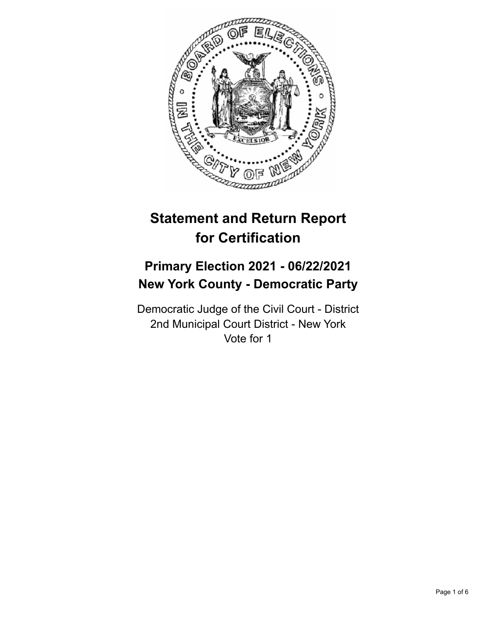

# **Statement and Return Report for Certification**

# **Primary Election 2021 - 06/22/2021 New York County - Democratic Party**

Democratic Judge of the Civil Court - District 2nd Municipal Court District - New York Vote for 1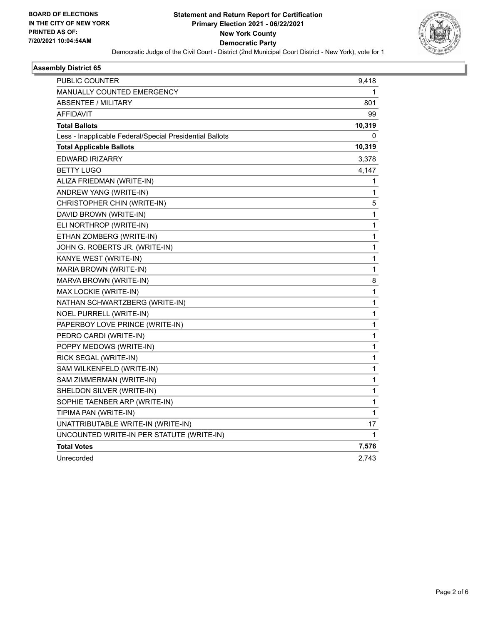

#### **Assembly District 65**

| <b>PUBLIC COUNTER</b>                                    | 9,418        |
|----------------------------------------------------------|--------------|
| <b>MANUALLY COUNTED EMERGENCY</b>                        | 1            |
| <b>ABSENTEE / MILITARY</b>                               | 801          |
| AFFIDAVIT                                                | 99           |
| <b>Total Ballots</b>                                     | 10,319       |
| Less - Inapplicable Federal/Special Presidential Ballots | 0            |
| <b>Total Applicable Ballots</b>                          | 10,319       |
| <b>EDWARD IRIZARRY</b>                                   | 3,378        |
| <b>BETTY LUGO</b>                                        | 4,147        |
| ALIZA FRIEDMAN (WRITE-IN)                                | 1            |
| ANDREW YANG (WRITE-IN)                                   | 1            |
| CHRISTOPHER CHIN (WRITE-IN)                              | 5            |
| DAVID BROWN (WRITE-IN)                                   | 1            |
| ELI NORTHROP (WRITE-IN)                                  | 1            |
| ETHAN ZOMBERG (WRITE-IN)                                 | 1            |
| JOHN G. ROBERTS JR. (WRITE-IN)                           | 1            |
| KANYE WEST (WRITE-IN)                                    | 1            |
| MARIA BROWN (WRITE-IN)                                   | 1            |
| MARVA BROWN (WRITE-IN)                                   | 8            |
| MAX LOCKIE (WRITE-IN)                                    | 1            |
| NATHAN SCHWARTZBERG (WRITE-IN)                           | 1            |
| NOEL PURRELL (WRITE-IN)                                  | $\mathbf{1}$ |
| PAPERBOY LOVE PRINCE (WRITE-IN)                          | 1            |
| PEDRO CARDI (WRITE-IN)                                   | 1            |
| POPPY MEDOWS (WRITE-IN)                                  | 1            |
| RICK SEGAL (WRITE-IN)                                    | 1            |
| SAM WILKENFELD (WRITE-IN)                                | 1            |
| SAM ZIMMERMAN (WRITE-IN)                                 | 1            |
| SHELDON SILVER (WRITE-IN)                                | 1            |
| SOPHIE TAENBER ARP (WRITE-IN)                            | 1            |
| TIPIMA PAN (WRITE-IN)                                    | 1            |
| UNATTRIBUTABLE WRITE-IN (WRITE-IN)                       | 17           |
| UNCOUNTED WRITE-IN PER STATUTE (WRITE-IN)                | 1            |
| <b>Total Votes</b>                                       | 7,576        |
| Unrecorded                                               | 2,743        |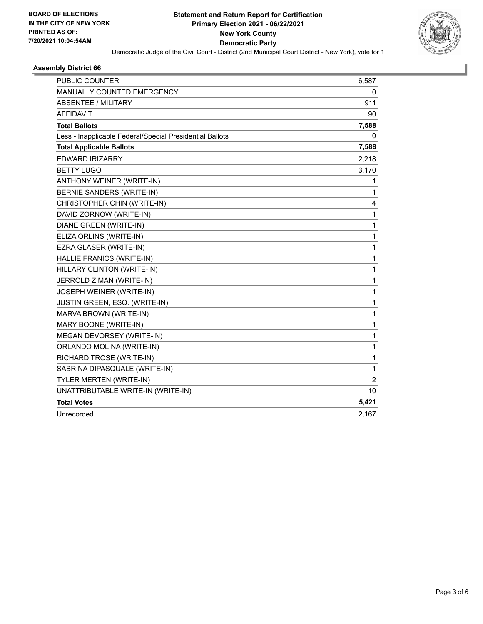

#### **Assembly District 66**

| <b>PUBLIC COUNTER</b>                                    | 6,587 |
|----------------------------------------------------------|-------|
| <b>MANUALLY COUNTED EMERGENCY</b>                        | 0     |
| ABSENTEE / MILITARY                                      | 911   |
| <b>AFFIDAVIT</b>                                         | 90    |
| <b>Total Ballots</b>                                     | 7,588 |
| Less - Inapplicable Federal/Special Presidential Ballots | 0     |
| <b>Total Applicable Ballots</b>                          | 7,588 |
| <b>EDWARD IRIZARRY</b>                                   | 2,218 |
| <b>BETTY LUGO</b>                                        | 3,170 |
| ANTHONY WEINER (WRITE-IN)                                | 1     |
| BERNIE SANDERS (WRITE-IN)                                | 1     |
| CHRISTOPHER CHIN (WRITE-IN)                              | 4     |
| DAVID ZORNOW (WRITE-IN)                                  | 1     |
| DIANE GREEN (WRITE-IN)                                   | 1     |
| ELIZA ORLINS (WRITE-IN)                                  | 1     |
| EZRA GLASER (WRITE-IN)                                   | 1     |
| HALLIE FRANICS (WRITE-IN)                                | 1     |
| HILLARY CLINTON (WRITE-IN)                               | 1     |
| JERROLD ZIMAN (WRITE-IN)                                 | 1     |
| JOSEPH WEINER (WRITE-IN)                                 | 1     |
| JUSTIN GREEN, ESQ. (WRITE-IN)                            | 1     |
| MARVA BROWN (WRITE-IN)                                   | 1     |
| MARY BOONE (WRITE-IN)                                    | 1     |
| MEGAN DEVORSEY (WRITE-IN)                                | 1     |
| ORLANDO MOLINA (WRITE-IN)                                | 1     |
| RICHARD TROSE (WRITE-IN)                                 | 1     |
| SABRINA DIPASQUALE (WRITE-IN)                            | 1     |
| TYLER MERTEN (WRITE-IN)                                  | 2     |
| UNATTRIBUTABLE WRITE-IN (WRITE-IN)                       | 10    |
| <b>Total Votes</b>                                       | 5,421 |
| Unrecorded                                               | 2,167 |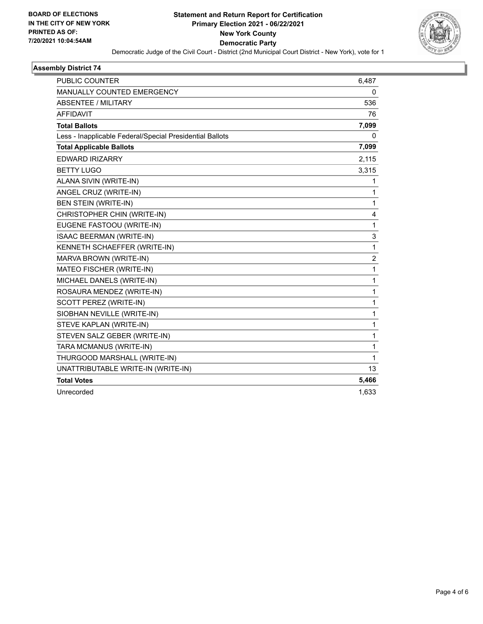

#### **Assembly District 74**

| <b>PUBLIC COUNTER</b>                                    | 6,487          |
|----------------------------------------------------------|----------------|
| <b>MANUALLY COUNTED EMERGENCY</b>                        | 0              |
| ABSENTEE / MILITARY                                      | 536            |
| <b>AFFIDAVIT</b>                                         | 76             |
| <b>Total Ballots</b>                                     | 7,099          |
| Less - Inapplicable Federal/Special Presidential Ballots | $\mathbf{0}$   |
| <b>Total Applicable Ballots</b>                          | 7,099          |
| <b>EDWARD IRIZARRY</b>                                   | 2,115          |
| <b>BETTY LUGO</b>                                        | 3,315          |
| ALANA SIVIN (WRITE-IN)                                   | 1              |
| ANGEL CRUZ (WRITE-IN)                                    | 1              |
| <b>BEN STEIN (WRITE-IN)</b>                              | 1              |
| CHRISTOPHER CHIN (WRITE-IN)                              | 4              |
| EUGENE FASTOOU (WRITE-IN)                                | 1              |
| <b>ISAAC BEERMAN (WRITE-IN)</b>                          | 3              |
| KENNETH SCHAEFFER (WRITE-IN)                             | 1              |
| MARVA BROWN (WRITE-IN)                                   | $\overline{2}$ |
| MATEO FISCHER (WRITE-IN)                                 | 1              |
| MICHAEL DANELS (WRITE-IN)                                | 1              |
| ROSAURA MENDEZ (WRITE-IN)                                | 1              |
| SCOTT PEREZ (WRITE-IN)                                   | 1              |
| SIOBHAN NEVILLE (WRITE-IN)                               | 1              |
| STEVE KAPLAN (WRITE-IN)                                  | 1              |
| STEVEN SALZ GEBER (WRITE-IN)                             | 1              |
| TARA MCMANUS (WRITE-IN)                                  | 1              |
| THURGOOD MARSHALL (WRITE-IN)                             | 1              |
| UNATTRIBUTABLE WRITE-IN (WRITE-IN)                       | 13             |
| <b>Total Votes</b>                                       | 5,466          |
| Unrecorded                                               | 1,633          |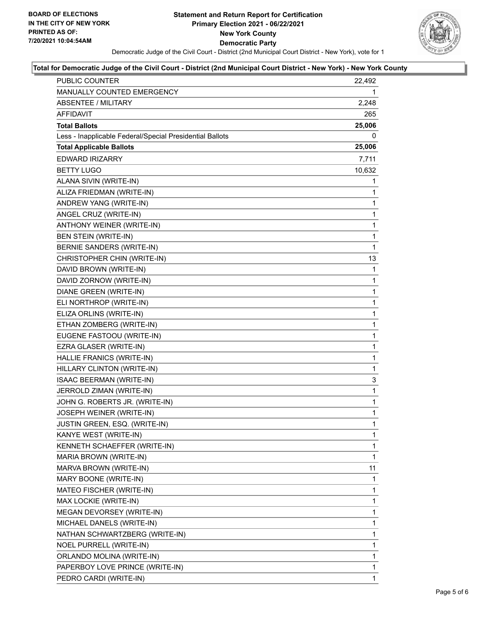

### **Total for Democratic Judge of the Civil Court - District (2nd Municipal Court District - New York) - New York County**

| PUBLIC COUNTER                                           | 22,492       |
|----------------------------------------------------------|--------------|
| MANUALLY COUNTED EMERGENCY                               | 1            |
| <b>ABSENTEE / MILITARY</b>                               | 2,248        |
| AFFIDAVIT                                                | 265          |
| <b>Total Ballots</b>                                     | 25,006       |
| Less - Inapplicable Federal/Special Presidential Ballots | 0            |
| <b>Total Applicable Ballots</b>                          | 25,006       |
| <b>EDWARD IRIZARRY</b>                                   | 7,711        |
| <b>BETTY LUGO</b>                                        | 10,632       |
| ALANA SIVIN (WRITE-IN)                                   | 1            |
| ALIZA FRIEDMAN (WRITE-IN)                                | 1            |
| ANDREW YANG (WRITE-IN)                                   | 1            |
| ANGEL CRUZ (WRITE-IN)                                    | $\mathbf{1}$ |
| ANTHONY WEINER (WRITE-IN)                                | 1            |
| <b>BEN STEIN (WRITE-IN)</b>                              | $\mathbf{1}$ |
| BERNIE SANDERS (WRITE-IN)                                | $\mathbf{1}$ |
| CHRISTOPHER CHIN (WRITE-IN)                              | 13           |
| DAVID BROWN (WRITE-IN)                                   | 1            |
| DAVID ZORNOW (WRITE-IN)                                  | $\mathbf{1}$ |
| DIANE GREEN (WRITE-IN)                                   | 1            |
| ELI NORTHROP (WRITE-IN)                                  | $\mathbf{1}$ |
| ELIZA ORLINS (WRITE-IN)                                  | $\mathbf{1}$ |
| ETHAN ZOMBERG (WRITE-IN)                                 | 1            |
| EUGENE FASTOOU (WRITE-IN)                                | $\mathbf{1}$ |
| EZRA GLASER (WRITE-IN)                                   | $\mathbf{1}$ |
| HALLIE FRANICS (WRITE-IN)                                | 1            |
| HILLARY CLINTON (WRITE-IN)                               | $\mathbf{1}$ |
| ISAAC BEERMAN (WRITE-IN)                                 | 3            |
| JERROLD ZIMAN (WRITE-IN)                                 | 1            |
| JOHN G. ROBERTS JR. (WRITE-IN)                           | $\mathbf{1}$ |
| JOSEPH WEINER (WRITE-IN)                                 | $\mathbf{1}$ |
| JUSTIN GREEN, ESQ. (WRITE-IN)                            | 1            |
| KANYE WEST (WRITE-IN)                                    | 1            |
| KENNETH SCHAEFFER (WRITE-IN)                             | 1            |
| MARIA BROWN (WRITE-IN)                                   | 1            |
| MARVA BROWN (WRITE-IN)                                   | 11           |
| MARY BOONE (WRITE-IN)                                    | 1            |
| MATEO FISCHER (WRITE-IN)                                 | 1            |
| MAX LOCKIE (WRITE-IN)                                    | 1            |
| MEGAN DEVORSEY (WRITE-IN)                                | 1            |
| MICHAEL DANELS (WRITE-IN)                                | 1            |
| NATHAN SCHWARTZBERG (WRITE-IN)                           | 1            |
| NOEL PURRELL (WRITE-IN)                                  | 1            |
| ORLANDO MOLINA (WRITE-IN)                                | 1            |
| PAPERBOY LOVE PRINCE (WRITE-IN)                          | 1            |
| PEDRO CARDI (WRITE-IN)                                   | 1            |